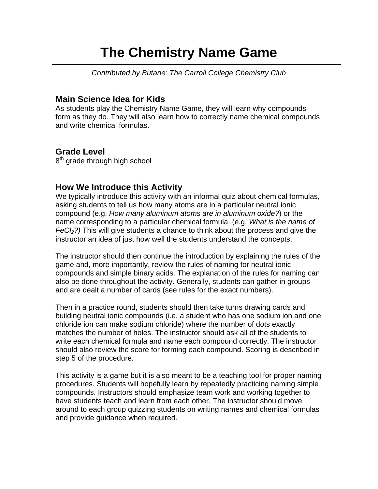# **The Chemistry Name Game**

*Contributed by Butane: The Carroll College Chemistry Club* 

## **Main Science Idea for Kids**

As students play the Chemistry Name Game, they will learn why compounds form as they do. They will also learn how to correctly name chemical compounds and write chemical formulas.

## **Grade Level**

8<sup>th</sup> grade through high school

## **How We Introduce this Activity**

We typically introduce this activity with an informal quiz about chemical formulas, asking students to tell us how many atoms are in a particular neutral ionic compound (e.g. *How many aluminum atoms are in aluminum oxide?*) or the name corresponding to a particular chemical formula. (e.g. *What is the name of FeCl2?)* This will give students a chance to think about the process and give the instructor an idea of just how well the students understand the concepts.

The instructor should then continue the introduction by explaining the rules of the game and, more importantly, review the rules of naming for neutral ionic compounds and simple binary acids. The explanation of the rules for naming can also be done throughout the activity. Generally, students can gather in groups and are dealt a number of cards (see rules for the exact numbers).

Then in a practice round, students should then take turns drawing cards and building neutral ionic compounds (i.e. a student who has one sodium ion and one chloride ion can make sodium chloride) where the number of dots exactly matches the number of holes. The instructor should ask all of the students to write each chemical formula and name each compound correctly. The instructor should also review the score for forming each compound. Scoring is described in step 5 of the procedure.

This activity is a game but it is also meant to be a teaching tool for proper naming procedures. Students will hopefully learn by repeatedly practicing naming simple compounds. Instructors should emphasize team work and working together to have students teach and learn from each other. The instructor should move around to each group quizzing students on writing names and chemical formulas and provide guidance when required.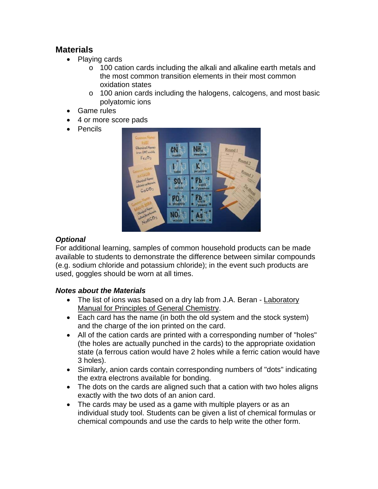## **Materials**

- Playing cards
	- o 100 cation cards including the alkali and alkaline earth metals and the most common transition elements in their most common oxidation states
	- o 100 anion cards including the halogens, calcogens, and most basic polyatomic ions
- Game rules
- 4 or more score pads
- Pencils



## *Optional*

For additional learning, samples of common household products can be made available to students to demonstrate the difference between similar compounds (e.g. sodium chloride and potassium chloride); in the event such products are used, goggles should be worn at all times.

#### *Notes about the Materials*

- The list of ions was based on a dry lab from J.A. Beran Laboratory Manual for Principles of General Chemistry.
- Each card has the name (in both the old system and the stock system) and the charge of the ion printed on the card.
- All of the cation cards are printed with a corresponding number of "holes" (the holes are actually punched in the cards) to the appropriate oxidation state (a ferrous cation would have 2 holes while a ferric cation would have 3 holes).
- Similarly, anion cards contain corresponding numbers of "dots" indicating the extra electrons available for bonding.
- The dots on the cards are aligned such that a cation with two holes aligns exactly with the two dots of an anion card.
- The cards may be used as a game with multiple players or as an individual study tool. Students can be given a list of chemical formulas or chemical compounds and use the cards to help write the other form.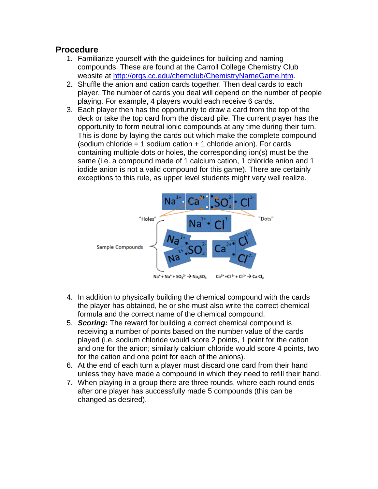#### **Procedure**

- 1. Familiarize yourself with the guidelines for building and naming compounds. These are found at the Carroll College Chemistry Club website at http://orgs.cc.edu/chemclub/ChemistryNameGame.htm.
- 2. Shuffle the anion and cation cards together. Then deal cards to each player. The number of cards you deal will depend on the number of people playing. For example, 4 players would each receive 6 cards.
- 3. Each player then has the opportunity to draw a card from the top of the deck or take the top card from the discard pile. The current player has the opportunity to form neutral ionic compounds at any time during their turn. This is done by laying the cards out which make the complete compound (sodium chloride  $= 1$  sodium cation  $+ 1$  chloride anion). For cards containing multiple dots or holes, the corresponding ion(s) must be the same (i.e. a compound made of 1 calcium cation, 1 chloride anion and 1 iodide anion is not a valid compound for this game). There are certainly exceptions to this rule, as upper level students might very well realize.



- 4. In addition to physically building the chemical compound with the cards the player has obtained, he or she must also write the correct chemical formula and the correct name of the chemical compound.
- 5. *Scoring:* The reward for building a correct chemical compound is receiving a number of points based on the number value of the cards played (i.e. sodium chloride would score 2 points, 1 point for the cation and one for the anion; similarly calcium chloride would score 4 points, two for the cation and one point for each of the anions).
- 6. At the end of each turn a player must discard one card from their hand unless they have made a compound in which they need to refill their hand.
- 7. When playing in a group there are three rounds, where each round ends after one player has successfully made 5 compounds (this can be changed as desired).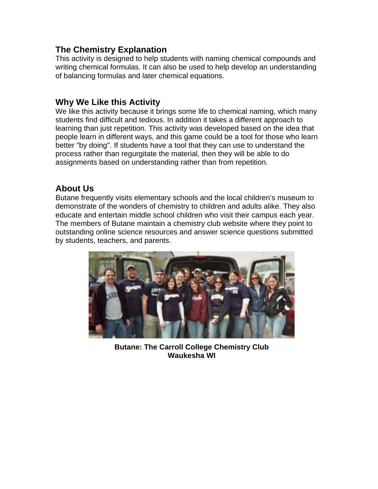## **The Chemistry Explanation**

This activity is designed to help students with naming chemical compounds and writing chemical formulas. It can also be used to help develop an understanding of balancing formulas and later chemical equations.

## **Why We Like this Activity**

We like this activity because it brings some life to chemical naming, which many students find difficult and tedious. In addition it takes a different approach to learning than just repetition. This activity was developed based on the idea that people learn in different ways, and this game could be a tool for those who learn better "by doing". If students have a tool that they can use to understand the process rather than regurgitate the material, then they will be able to do assignments based on understanding rather than from repetition.

## **About Us**

Butane frequently visits elementary schools and the local children's museum to demonstrate of the wonders of chemistry to children and adults alike. They also educate and entertain middle school children who visit their campus each year. The members of Butane maintain a chemistry club website where they point to outstanding online science resources and answer science questions submitted by students, teachers, and parents.



**Butane: The Carroll College Chemistry Club Waukesha WI**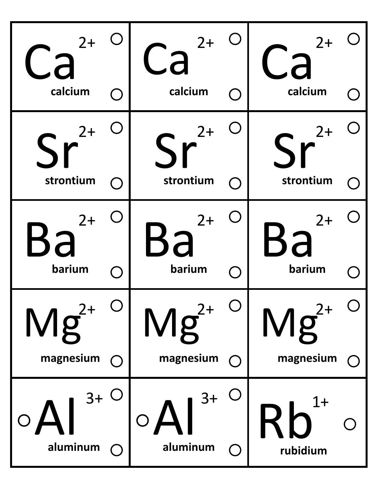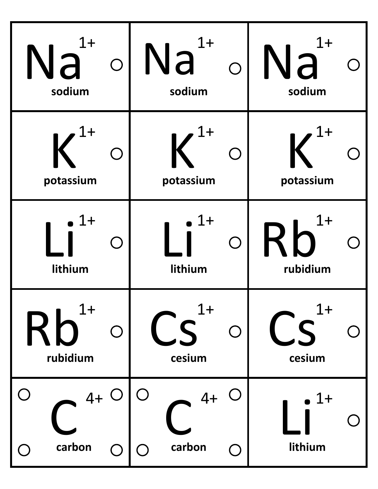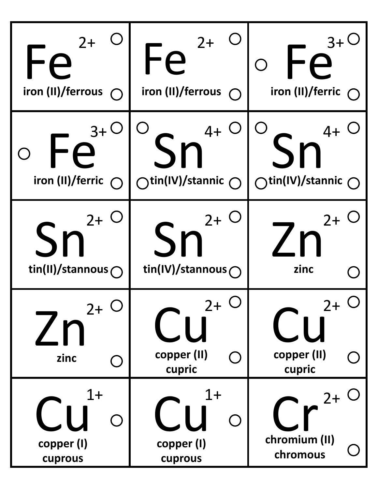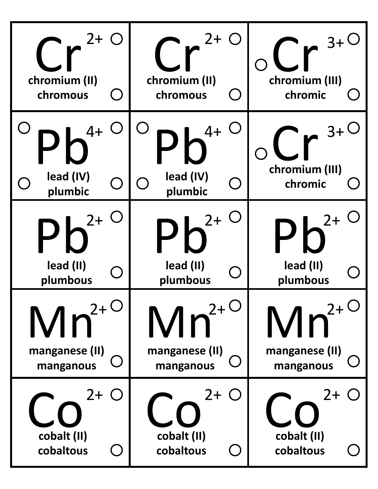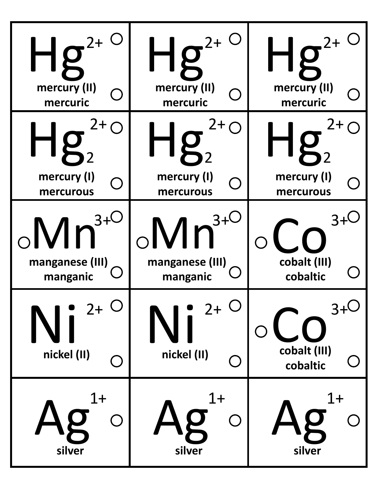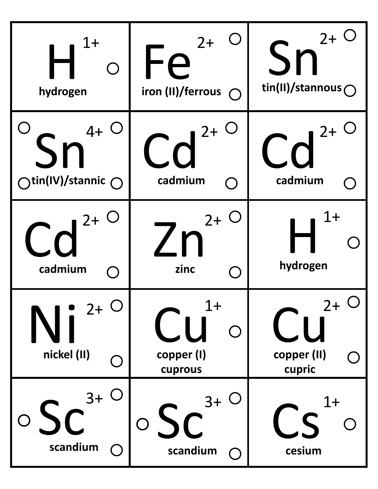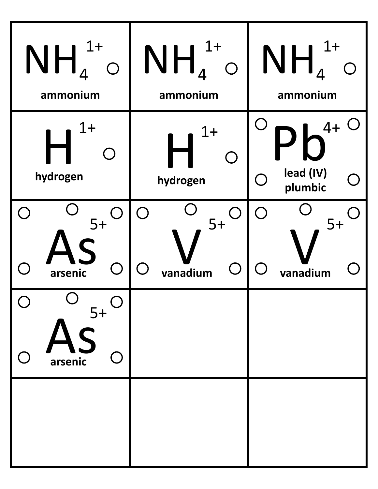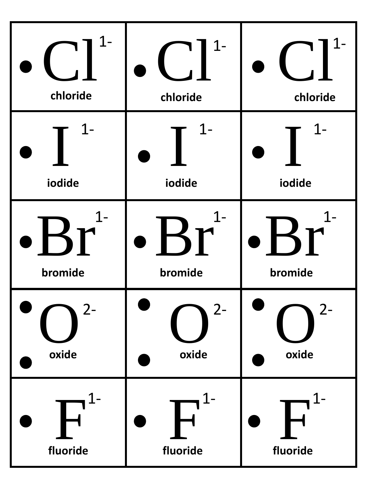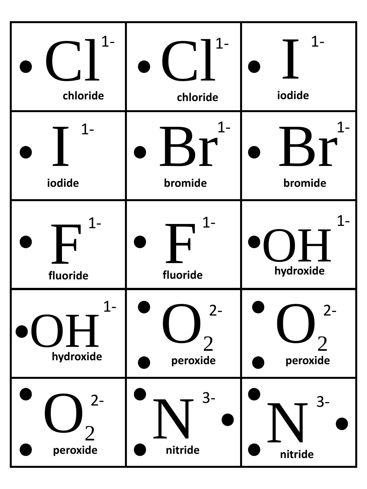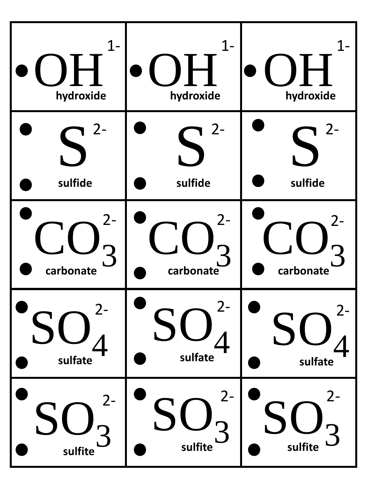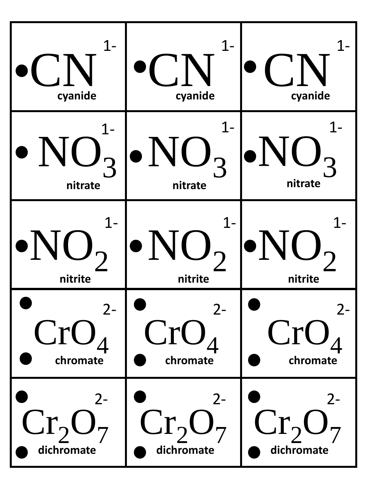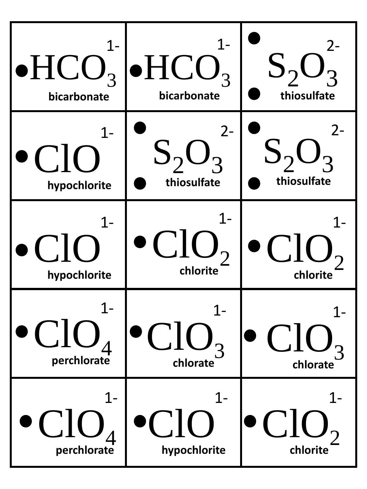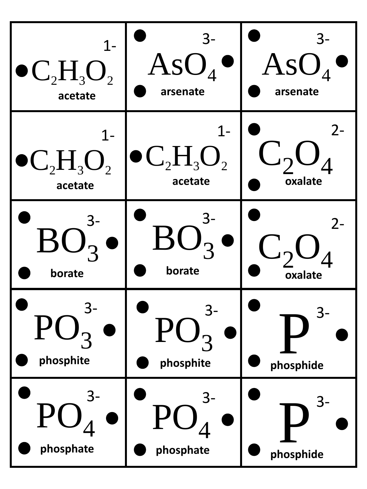